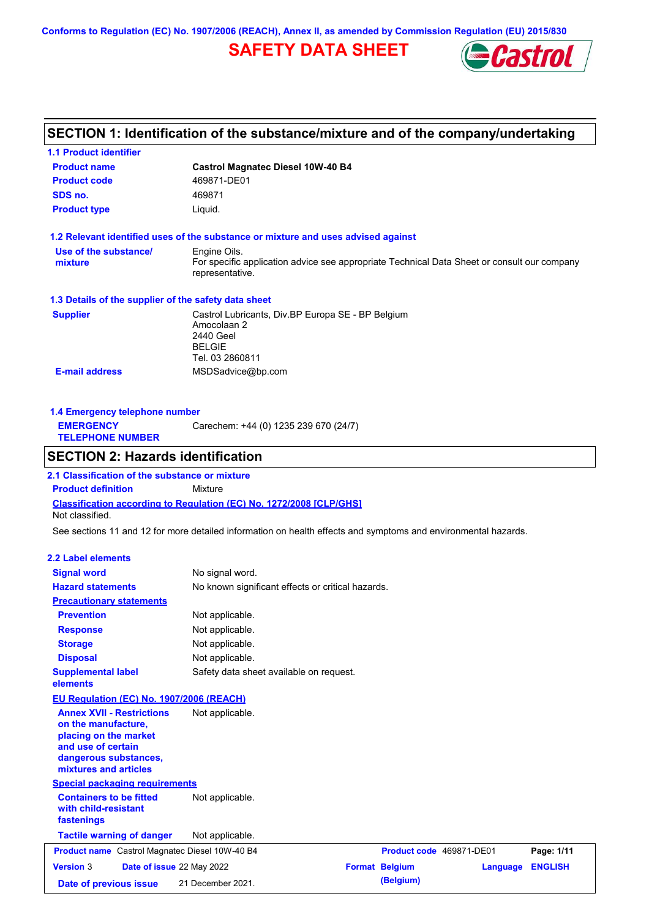**Conforms to Regulation (EC) No. 1907/2006 (REACH), Annex II, as amended by Commission Regulation (EU) 2015/830**

## **SAFETY DATA SHEET**



# **SECTION 1: Identification of the substance/mixture and of the company/undertaking**

| 1.1 Product identifier                                                                                                                                   |                                                                                                                   |                                                                                             |                 |                |
|----------------------------------------------------------------------------------------------------------------------------------------------------------|-------------------------------------------------------------------------------------------------------------------|---------------------------------------------------------------------------------------------|-----------------|----------------|
| <b>Product name</b>                                                                                                                                      | <b>Castrol Magnatec Diesel 10W-40 B4</b>                                                                          |                                                                                             |                 |                |
| <b>Product code</b>                                                                                                                                      | 469871-DE01                                                                                                       |                                                                                             |                 |                |
| SDS no.                                                                                                                                                  | 469871                                                                                                            |                                                                                             |                 |                |
| <b>Product type</b>                                                                                                                                      | Liquid.                                                                                                           |                                                                                             |                 |                |
| 1.2 Relevant identified uses of the substance or mixture and uses advised against                                                                        |                                                                                                                   |                                                                                             |                 |                |
| Use of the substance/                                                                                                                                    | Engine Oils.                                                                                                      |                                                                                             |                 |                |
| mixture                                                                                                                                                  | representative.                                                                                                   | For specific application advice see appropriate Technical Data Sheet or consult our company |                 |                |
| 1.3 Details of the supplier of the safety data sheet                                                                                                     |                                                                                                                   |                                                                                             |                 |                |
| <b>Supplier</b>                                                                                                                                          | Castrol Lubricants, Div.BP Europa SE - BP Belgium<br>Amocolaan 2<br>2440 Geel<br><b>BELGIE</b><br>Tel. 03 2860811 |                                                                                             |                 |                |
| <b>E-mail address</b>                                                                                                                                    | MSDSadvice@bp.com                                                                                                 |                                                                                             |                 |                |
| 1.4 Emergency telephone number<br><b>EMERGENCY</b><br><b>TELEPHONE NUMBER</b>                                                                            | Carechem: +44 (0) 1235 239 670 (24/7)                                                                             |                                                                                             |                 |                |
| <b>SECTION 2: Hazards identification</b>                                                                                                                 |                                                                                                                   |                                                                                             |                 |                |
| 2.1 Classification of the substance or mixture                                                                                                           |                                                                                                                   |                                                                                             |                 |                |
| <b>Product definition</b>                                                                                                                                | Mixture                                                                                                           |                                                                                             |                 |                |
| <b>Classification according to Regulation (EC) No. 1272/2008 [CLP/GHS]</b><br>Not classified.                                                            |                                                                                                                   |                                                                                             |                 |                |
| See sections 11 and 12 for more detailed information on health effects and symptoms and environmental hazards.                                           |                                                                                                                   |                                                                                             |                 |                |
| 2.2 Label elements                                                                                                                                       |                                                                                                                   |                                                                                             |                 |                |
| <b>Signal word</b>                                                                                                                                       | No signal word.                                                                                                   |                                                                                             |                 |                |
| <b>Hazard statements</b>                                                                                                                                 | No known significant effects or critical hazards.                                                                 |                                                                                             |                 |                |
| <b>Precautionary statements</b>                                                                                                                          |                                                                                                                   |                                                                                             |                 |                |
| <b>Prevention</b>                                                                                                                                        | Not applicable.                                                                                                   |                                                                                             |                 |                |
| <b>Response</b>                                                                                                                                          | Not applicable.                                                                                                   |                                                                                             |                 |                |
| <b>Storage</b>                                                                                                                                           | Not applicable.                                                                                                   |                                                                                             |                 |                |
| <b>Disposal</b>                                                                                                                                          | Not applicable.                                                                                                   |                                                                                             |                 |                |
| <b>Supplemental label</b><br>elements                                                                                                                    | Safety data sheet available on request.                                                                           |                                                                                             |                 |                |
| EU Regulation (EC) No. 1907/2006 (REACH)                                                                                                                 |                                                                                                                   |                                                                                             |                 |                |
| <b>Annex XVII - Restrictions</b><br>on the manufacture,<br>placing on the market<br>and use of certain<br>dangerous substances,<br>mixtures and articles | Not applicable.                                                                                                   |                                                                                             |                 |                |
| <b>Special packaging requirements</b>                                                                                                                    |                                                                                                                   |                                                                                             |                 |                |
| <b>Containers to be fitted</b><br>with child-resistant<br>fastenings                                                                                     | Not applicable.                                                                                                   |                                                                                             |                 |                |
| <b>Tactile warning of danger</b>                                                                                                                         | Not applicable.                                                                                                   |                                                                                             |                 |                |
| Product name Castrol Magnatec Diesel 10W-40 B4                                                                                                           |                                                                                                                   | Product code 469871-DE01                                                                    |                 | Page: 1/11     |
| <b>Version 3</b><br>Date of issue 22 May 2022                                                                                                            |                                                                                                                   | <b>Format Belgium</b>                                                                       | <b>Language</b> | <b>ENGLISH</b> |
| Date of previous issue                                                                                                                                   | 21 December 2021.                                                                                                 | (Belgium)                                                                                   |                 |                |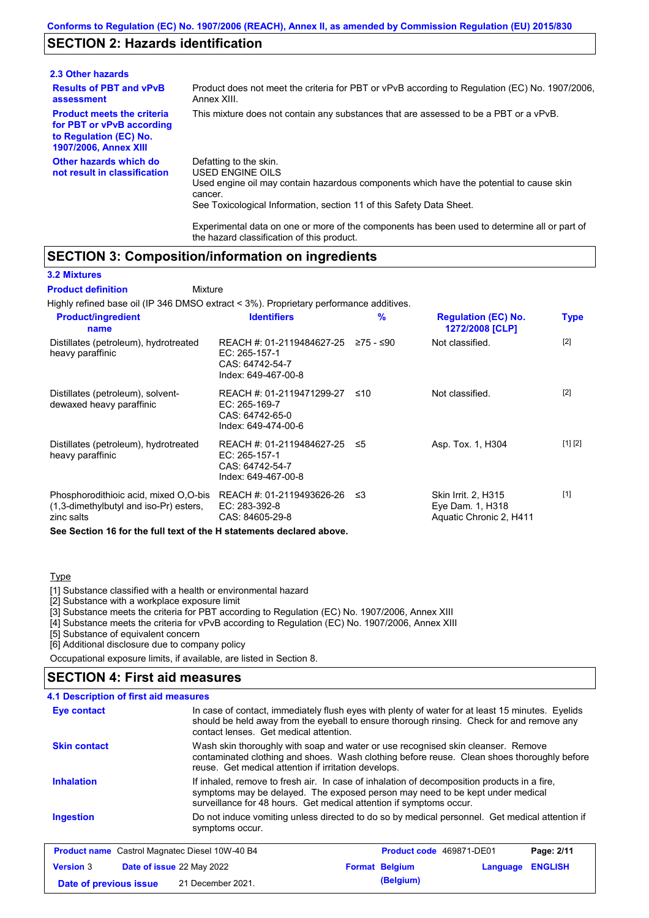### **SECTION 2: Hazards identification**

| 2.3 Other hazards                                                                                                        |                                                                                                                                                                                                                          |
|--------------------------------------------------------------------------------------------------------------------------|--------------------------------------------------------------------------------------------------------------------------------------------------------------------------------------------------------------------------|
| <b>Results of PBT and vPvB</b><br>assessment                                                                             | Product does not meet the criteria for PBT or vPvB according to Regulation (EC) No. 1907/2006.<br>Annex XIII.                                                                                                            |
| <b>Product meets the criteria</b><br>for PBT or vPvB according<br>to Regulation (EC) No.<br><b>1907/2006, Annex XIII</b> | This mixture does not contain any substances that are assessed to be a PBT or a vPvB.                                                                                                                                    |
| Other hazards which do<br>not result in classification                                                                   | Defatting to the skin.<br>USED ENGINE OILS<br>Used engine oil may contain hazardous components which have the potential to cause skin<br>cancer.<br>See Toxicological Information, section 11 of this Safety Data Sheet. |

Experimental data on one or more of the components has been used to determine all or part of the hazard classification of this product.

### **SECTION 3: Composition/information on ingredients**

#### **3.2 Mixtures**

Mixture **Product definition**

Highly refined base oil (IP 346 DMSO extract < 3%). Proprietary performance additives.

| <b>Product/ingredient</b><br>name                                                                | <b>Identifiers</b>                                                                      | $\frac{9}{6}$ | <b>Regulation (EC) No.</b><br>1272/2008 [CLP]                             | <b>Type</b> |
|--------------------------------------------------------------------------------------------------|-----------------------------------------------------------------------------------------|---------------|---------------------------------------------------------------------------|-------------|
| Distillates (petroleum), hydrotreated<br>heavy paraffinic                                        | REACH #: 01-2119484627-25<br>$EC: 265-157-1$<br>CAS: 64742-54-7<br>Index: 649-467-00-8  | ≥75 - ≤90     | Not classified.                                                           | $[2]$       |
| Distillates (petroleum), solvent-<br>dewaxed heavy paraffinic                                    | REACH #: 01-2119471299-27<br>EC: 265-169-7<br>CAS: 64742-65-0<br>Index: 649-474-00-6    | ≤10           | Not classified.                                                           | $[2]$       |
| Distillates (petroleum), hydrotreated<br>heavy paraffinic                                        | REACH #: 01-2119484627-25 ≤5<br>EC: 265-157-1<br>CAS: 64742-54-7<br>Index: 649-467-00-8 |               | Asp. Tox. 1, H304                                                         | [1] [2]     |
| Phosphorodithioic acid, mixed O,O-bis<br>$(1,3$ -dimethylbutyl and iso-Pr) esters,<br>zinc salts | REACH #: 01-2119493626-26<br>EC: 283-392-8<br>CAS: 84605-29-8                           | -≤3           | <b>Skin Irrit. 2, H315</b><br>Eye Dam. 1, H318<br>Aquatic Chronic 2, H411 | $[1]$       |
| See Section 16 for the full text of the H statements declared above.                             |                                                                                         |               |                                                                           |             |

#### **Type**

[1] Substance classified with a health or environmental hazard

[2] Substance with a workplace exposure limit

[3] Substance meets the criteria for PBT according to Regulation (EC) No. 1907/2006, Annex XIII

[4] Substance meets the criteria for vPvB according to Regulation (EC) No. 1907/2006, Annex XIII

[5] Substance of equivalent concern

[6] Additional disclosure due to company policy

Occupational exposure limits, if available, are listed in Section 8.

### **SECTION 4: First aid measures**

#### Do not induce vomiting unless directed to do so by medical personnel. Get medical attention if symptoms occur. In case of contact, immediately flush eyes with plenty of water for at least 15 minutes. Eyelids should be held away from the eyeball to ensure thorough rinsing. Check for and remove any contact lenses. Get medical attention. **4.1 Description of first aid measures** If inhaled, remove to fresh air. In case of inhalation of decomposition products in a fire, symptoms may be delayed. The exposed person may need to be kept under medical surveillance for 48 hours. Get medical attention if symptoms occur. **Ingestion Inhalation Eye contact Skin contact** Wash skin thoroughly with soap and water or use recognised skin cleanser. Remove contaminated clothing and shoes. Wash clothing before reuse. Clean shoes thoroughly before reuse. Get medical attention if irritation develops. **Product name** Castrol Magnatec Diesel 10W-40 B4 **Product Code 469871-DE01 Page: 2/11 Version** 3 **Date of issue** 22 May 2022 **Format Belgium Language ENGLISH Date of previous issue 21 December 2021. (Belgium)**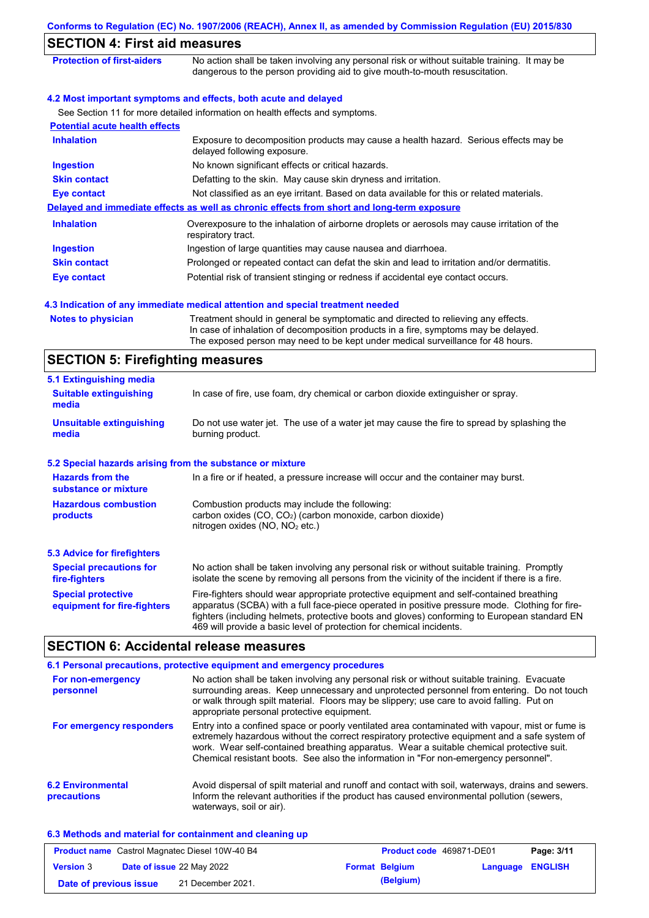|                                       | Conforms to Regulation (EC) No. 1907/2006 (REACH), Annex II, as amended by Commission Regulation (EU) 2015/830                                                                                                                                              |
|---------------------------------------|-------------------------------------------------------------------------------------------------------------------------------------------------------------------------------------------------------------------------------------------------------------|
| <b>SECTION 4: First aid measures</b>  |                                                                                                                                                                                                                                                             |
| <b>Protection of first-aiders</b>     | No action shall be taken involving any personal risk or without suitable training. It may be<br>dangerous to the person providing aid to give mouth-to-mouth resuscitation.                                                                                 |
|                                       | 4.2 Most important symptoms and effects, both acute and delayed                                                                                                                                                                                             |
|                                       | See Section 11 for more detailed information on health effects and symptoms.                                                                                                                                                                                |
| <b>Potential acute health effects</b> |                                                                                                                                                                                                                                                             |
| <b>Inhalation</b>                     | Exposure to decomposition products may cause a health hazard. Serious effects may be<br>delayed following exposure.                                                                                                                                         |
| <b>Ingestion</b>                      | No known significant effects or critical hazards.                                                                                                                                                                                                           |
| <b>Skin contact</b>                   | Defatting to the skin. May cause skin dryness and irritation.                                                                                                                                                                                               |
| <b>Eye contact</b>                    | Not classified as an eye irritant. Based on data available for this or related materials.                                                                                                                                                                   |
|                                       | Delayed and immediate effects as well as chronic effects from short and long-term exposure                                                                                                                                                                  |
| <b>Inhalation</b>                     | Overexposure to the inhalation of airborne droplets or aerosols may cause irritation of the<br>respiratory tract.                                                                                                                                           |
| <b>Ingestion</b>                      | Ingestion of large quantities may cause nausea and diarrhoea.                                                                                                                                                                                               |
| <b>Skin contact</b>                   | Prolonged or repeated contact can defat the skin and lead to irritation and/or dermatitis.                                                                                                                                                                  |
| <b>Eye contact</b>                    | Potential risk of transient stinging or redness if accidental eye contact occurs.                                                                                                                                                                           |
|                                       | 4.3 Indication of any immediate medical attention and special treatment needed                                                                                                                                                                              |
| <b>Notes to physician</b>             | Treatment should in general be symptomatic and directed to relieving any effects.<br>In case of inhalation of decomposition products in a fire, symptoms may be delayed.<br>The exposed person may need to be kept under medical surveillance for 48 hours. |

# **SECTION 5: Firefighting measures**

| 5.1 Extinguishing media                                   |                                                                                                                                                                                                                                                                                                                                                                   |
|-----------------------------------------------------------|-------------------------------------------------------------------------------------------------------------------------------------------------------------------------------------------------------------------------------------------------------------------------------------------------------------------------------------------------------------------|
| <b>Suitable extinguishing</b><br>media                    | In case of fire, use foam, dry chemical or carbon dioxide extinguisher or spray.                                                                                                                                                                                                                                                                                  |
| <b>Unsuitable extinguishing</b><br>media                  | Do not use water jet. The use of a water jet may cause the fire to spread by splashing the<br>burning product.                                                                                                                                                                                                                                                    |
| 5.2 Special hazards arising from the substance or mixture |                                                                                                                                                                                                                                                                                                                                                                   |
| <b>Hazards from the</b><br>substance or mixture           | In a fire or if heated, a pressure increase will occur and the container may burst.                                                                                                                                                                                                                                                                               |
| <b>Hazardous combustion</b><br>products                   | Combustion products may include the following:<br>carbon oxides $(CO, CO2)$ (carbon monoxide, carbon dioxide)<br>nitrogen oxides ( $NO$ , $NO2$ etc.)                                                                                                                                                                                                             |
| 5.3 Advice for firefighters                               |                                                                                                                                                                                                                                                                                                                                                                   |
| <b>Special precautions for</b><br>fire-fighters           | No action shall be taken involving any personal risk or without suitable training. Promptly<br>isolate the scene by removing all persons from the vicinity of the incident if there is a fire.                                                                                                                                                                    |
| <b>Special protective</b><br>equipment for fire-fighters  | Fire-fighters should wear appropriate protective equipment and self-contained breathing<br>apparatus (SCBA) with a full face-piece operated in positive pressure mode. Clothing for fire-<br>fighters (including helmets, protective boots and gloves) conforming to European standard EN<br>469 will provide a basic level of protection for chemical incidents. |

## **SECTION 6: Accidental release measures**

|                                         | 6.1 Personal precautions, protective equipment and emergency procedures                                                                                                                                                                                                                                                                                                              |
|-----------------------------------------|--------------------------------------------------------------------------------------------------------------------------------------------------------------------------------------------------------------------------------------------------------------------------------------------------------------------------------------------------------------------------------------|
| For non-emergency<br>personnel          | No action shall be taken involving any personal risk or without suitable training. Evacuate<br>surrounding areas. Keep unnecessary and unprotected personnel from entering. Do not touch<br>or walk through spilt material. Floors may be slippery; use care to avoid falling. Put on<br>appropriate personal protective equipment.                                                  |
| For emergency responders                | Entry into a confined space or poorly ventilated area contaminated with vapour, mist or fume is<br>extremely hazardous without the correct respiratory protective equipment and a safe system of<br>work. Wear self-contained breathing apparatus. Wear a suitable chemical protective suit.<br>Chemical resistant boots. See also the information in "For non-emergency personnel". |
| <b>6.2 Environmental</b><br>precautions | Avoid dispersal of spilt material and runoff and contact with soil, waterways, drains and sewers.<br>Inform the relevant authorities if the product has caused environmental pollution (sewers,<br>waterways, soil or air).                                                                                                                                                          |

### **6.3 Methods and material for containment and cleaning up**

| <b>Product name</b> Castrol Magnatec Diesel 10W-40 B4 |                                  |                   | <b>Product code</b> 469871-DE01 | Page: 3/11            |                         |  |
|-------------------------------------------------------|----------------------------------|-------------------|---------------------------------|-----------------------|-------------------------|--|
| <b>Version 3</b>                                      | <b>Date of issue 22 May 2022</b> |                   |                                 | <b>Format Belgium</b> | <b>Language ENGLISH</b> |  |
| Date of previous issue                                |                                  | 21 December 2021. |                                 | (Belgium)             |                         |  |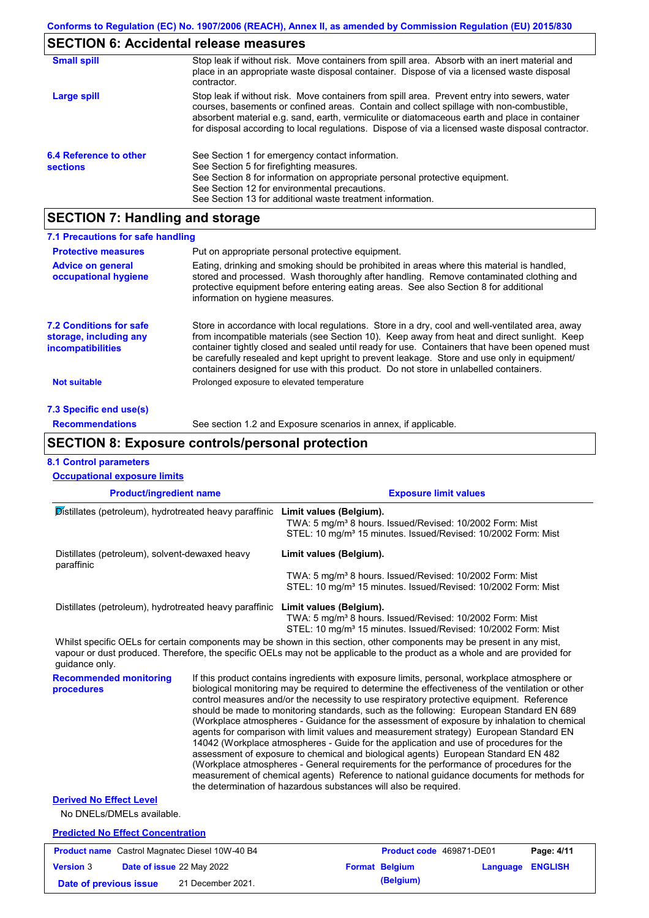# **SECTION 6: Accidental release measures**

| <b>Small spill</b>                        | Stop leak if without risk. Move containers from spill area. Absorb with an inert material and<br>place in an appropriate waste disposal container. Dispose of via a licensed waste disposal<br>contractor.                                                                                                                                                                                     |
|-------------------------------------------|------------------------------------------------------------------------------------------------------------------------------------------------------------------------------------------------------------------------------------------------------------------------------------------------------------------------------------------------------------------------------------------------|
| Large spill                               | Stop leak if without risk. Move containers from spill area. Prevent entry into sewers, water<br>courses, basements or confined areas. Contain and collect spillage with non-combustible,<br>absorbent material e.g. sand, earth, vermiculite or diatomaceous earth and place in container<br>for disposal according to local regulations. Dispose of via a licensed waste disposal contractor. |
| 6.4 Reference to other<br><b>sections</b> | See Section 1 for emergency contact information.<br>See Section 5 for firefighting measures.<br>See Section 8 for information on appropriate personal protective equipment.<br>See Section 12 for environmental precautions.<br>See Section 13 for additional waste treatment information.                                                                                                     |

# **SECTION 7: Handling and storage**

| 7.1 Precautions for safe handling                                                    |                                                                                                                                                                                                                                                                                                                                                                                                                                                                                          |
|--------------------------------------------------------------------------------------|------------------------------------------------------------------------------------------------------------------------------------------------------------------------------------------------------------------------------------------------------------------------------------------------------------------------------------------------------------------------------------------------------------------------------------------------------------------------------------------|
| <b>Protective measures</b>                                                           | Put on appropriate personal protective equipment.                                                                                                                                                                                                                                                                                                                                                                                                                                        |
| <b>Advice on general</b><br>occupational hygiene                                     | Eating, drinking and smoking should be prohibited in areas where this material is handled,<br>stored and processed. Wash thoroughly after handling. Remove contaminated clothing and<br>protective equipment before entering eating areas. See also Section 8 for additional<br>information on hygiene measures.                                                                                                                                                                         |
| <b>7.2 Conditions for safe</b><br>storage, including any<br><b>incompatibilities</b> | Store in accordance with local requlations. Store in a dry, cool and well-ventilated area, away<br>from incompatible materials (see Section 10). Keep away from heat and direct sunlight. Keep<br>container tightly closed and sealed until ready for use. Containers that have been opened must<br>be carefully resealed and kept upright to prevent leakage. Store and use only in equipment/<br>containers designed for use with this product. Do not store in unlabelled containers. |
| <b>Not suitable</b>                                                                  | Prolonged exposure to elevated temperature                                                                                                                                                                                                                                                                                                                                                                                                                                               |
| 7.3 Specific end use(s)                                                              |                                                                                                                                                                                                                                                                                                                                                                                                                                                                                          |
| <b>Recommendations</b>                                                               | See section 1.2 and Exposure scenarios in annex, if applicable.                                                                                                                                                                                                                                                                                                                                                                                                                          |

### **SECTION 8: Exposure controls/personal protection**

**Date of previous issue** 21 December 2021. **(Belgium)** 

### **8.1 Control parameters**

| <b>Product/ingredient name</b>                                                                                                                                                                                                                                         |  | <b>Exposure limit values</b>                                                                                                                                                                                                                                                                                                                                                                                                                                                                                                                                                                                                                                                                                                                                                                                                                                                                                                                                                                                               |                                                                                                                                                                              |          |                |
|------------------------------------------------------------------------------------------------------------------------------------------------------------------------------------------------------------------------------------------------------------------------|--|----------------------------------------------------------------------------------------------------------------------------------------------------------------------------------------------------------------------------------------------------------------------------------------------------------------------------------------------------------------------------------------------------------------------------------------------------------------------------------------------------------------------------------------------------------------------------------------------------------------------------------------------------------------------------------------------------------------------------------------------------------------------------------------------------------------------------------------------------------------------------------------------------------------------------------------------------------------------------------------------------------------------------|------------------------------------------------------------------------------------------------------------------------------------------------------------------------------|----------|----------------|
| Distillates (petroleum), hydrotreated heavy paraffinic                                                                                                                                                                                                                 |  |                                                                                                                                                                                                                                                                                                                                                                                                                                                                                                                                                                                                                                                                                                                                                                                                                                                                                                                                                                                                                            | Limit values (Belgium).<br>TWA: 5 mg/m <sup>3</sup> 8 hours. Issued/Revised: 10/2002 Form: Mist<br>STEL: 10 mg/m <sup>3</sup> 15 minutes. Issued/Revised: 10/2002 Form: Mist |          |                |
| Distillates (petroleum), solvent-dewaxed heavy<br>paraffinic                                                                                                                                                                                                           |  | Limit values (Belgium).                                                                                                                                                                                                                                                                                                                                                                                                                                                                                                                                                                                                                                                                                                                                                                                                                                                                                                                                                                                                    |                                                                                                                                                                              |          |                |
|                                                                                                                                                                                                                                                                        |  |                                                                                                                                                                                                                                                                                                                                                                                                                                                                                                                                                                                                                                                                                                                                                                                                                                                                                                                                                                                                                            | TWA: 5 mg/m <sup>3</sup> 8 hours. Issued/Revised: 10/2002 Form: Mist<br>STEL: 10 mg/m <sup>3</sup> 15 minutes. Issued/Revised: 10/2002 Form: Mist                            |          |                |
| Distillates (petroleum), hydrotreated heavy paraffinic                                                                                                                                                                                                                 |  | Limit values (Belgium).                                                                                                                                                                                                                                                                                                                                                                                                                                                                                                                                                                                                                                                                                                                                                                                                                                                                                                                                                                                                    | TWA: 5 mg/m <sup>3</sup> 8 hours. Issued/Revised: 10/2002 Form: Mist<br>STEL: 10 mg/m <sup>3</sup> 15 minutes. Issued/Revised: 10/2002 Form: Mist                            |          |                |
| Whilst specific OELs for certain components may be shown in this section, other components may be present in any mist,<br>vapour or dust produced. Therefore, the specific OELs may not be applicable to the product as a whole and are provided for<br>guidance only. |  |                                                                                                                                                                                                                                                                                                                                                                                                                                                                                                                                                                                                                                                                                                                                                                                                                                                                                                                                                                                                                            |                                                                                                                                                                              |          |                |
| <b>Recommended monitoring</b><br>procedures                                                                                                                                                                                                                            |  | If this product contains ingredients with exposure limits, personal, workplace atmosphere or<br>biological monitoring may be required to determine the effectiveness of the ventilation or other<br>control measures and/or the necessity to use respiratory protective equipment. Reference<br>should be made to monitoring standards, such as the following: European Standard EN 689<br>(Workplace atmospheres - Guidance for the assessment of exposure by inhalation to chemical<br>agents for comparison with limit values and measurement strategy) European Standard EN<br>14042 (Workplace atmospheres - Guide for the application and use of procedures for the<br>assessment of exposure to chemical and biological agents) European Standard EN 482<br>(Workplace atmospheres - General requirements for the performance of procedures for the<br>measurement of chemical agents) Reference to national guidance documents for methods for<br>the determination of hazardous substances will also be required. |                                                                                                                                                                              |          |                |
| <b>Derived No Effect Level</b>                                                                                                                                                                                                                                         |  |                                                                                                                                                                                                                                                                                                                                                                                                                                                                                                                                                                                                                                                                                                                                                                                                                                                                                                                                                                                                                            |                                                                                                                                                                              |          |                |
| No DNELs/DMELs available.                                                                                                                                                                                                                                              |  |                                                                                                                                                                                                                                                                                                                                                                                                                                                                                                                                                                                                                                                                                                                                                                                                                                                                                                                                                                                                                            |                                                                                                                                                                              |          |                |
| <b>Predicted No Effect Concentration</b>                                                                                                                                                                                                                               |  |                                                                                                                                                                                                                                                                                                                                                                                                                                                                                                                                                                                                                                                                                                                                                                                                                                                                                                                                                                                                                            |                                                                                                                                                                              |          |                |
| <b>Product name</b> Castrol Magnatec Diesel 10W-40 B4                                                                                                                                                                                                                  |  |                                                                                                                                                                                                                                                                                                                                                                                                                                                                                                                                                                                                                                                                                                                                                                                                                                                                                                                                                                                                                            | Product code 469871-DE01                                                                                                                                                     |          | Page: 4/11     |
| <b>Version 3</b><br>Date of issue 22 May 2022                                                                                                                                                                                                                          |  |                                                                                                                                                                                                                                                                                                                                                                                                                                                                                                                                                                                                                                                                                                                                                                                                                                                                                                                                                                                                                            | <b>Format Belgium</b>                                                                                                                                                        | Language | <b>ENGLISH</b> |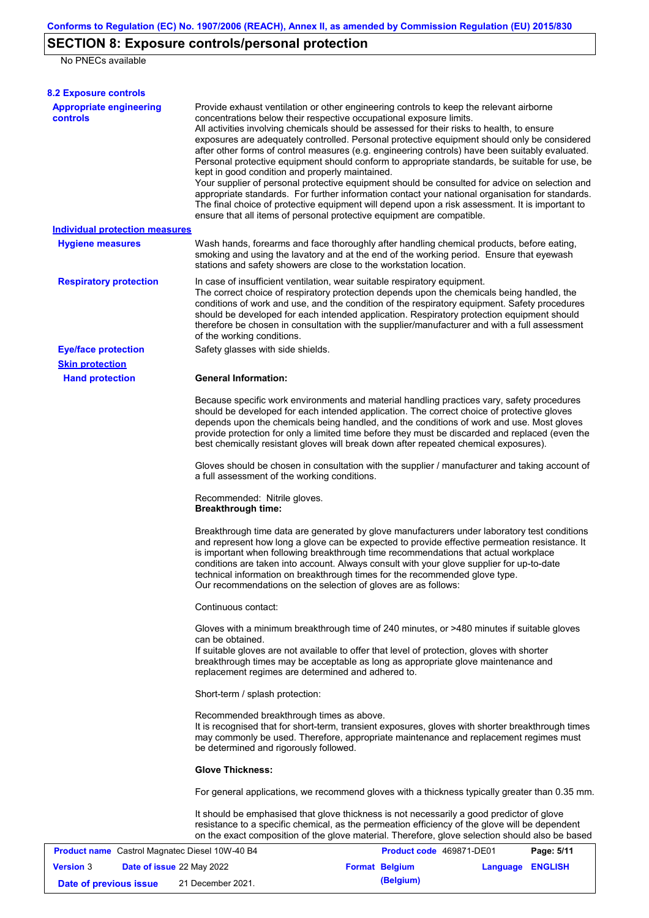# **SECTION 8: Exposure controls/personal protection**

No PNECs available

| <b>8.2 Exposure controls</b>                          |                                                                                                                                                                                                                                                                                                                                                                                                                                                                                                                                                                                                                                                                                                                                                                                                                                                                                                                                                                                                         |  |  |  |  |
|-------------------------------------------------------|---------------------------------------------------------------------------------------------------------------------------------------------------------------------------------------------------------------------------------------------------------------------------------------------------------------------------------------------------------------------------------------------------------------------------------------------------------------------------------------------------------------------------------------------------------------------------------------------------------------------------------------------------------------------------------------------------------------------------------------------------------------------------------------------------------------------------------------------------------------------------------------------------------------------------------------------------------------------------------------------------------|--|--|--|--|
| <b>Appropriate engineering</b><br><b>controls</b>     | Provide exhaust ventilation or other engineering controls to keep the relevant airborne<br>concentrations below their respective occupational exposure limits.<br>All activities involving chemicals should be assessed for their risks to health, to ensure<br>exposures are adequately controlled. Personal protective equipment should only be considered<br>after other forms of control measures (e.g. engineering controls) have been suitably evaluated.<br>Personal protective equipment should conform to appropriate standards, be suitable for use, be<br>kept in good condition and properly maintained.<br>Your supplier of personal protective equipment should be consulted for advice on selection and<br>appropriate standards. For further information contact your national organisation for standards.<br>The final choice of protective equipment will depend upon a risk assessment. It is important to<br>ensure that all items of personal protective equipment are compatible. |  |  |  |  |
| <b>Individual protection measures</b>                 |                                                                                                                                                                                                                                                                                                                                                                                                                                                                                                                                                                                                                                                                                                                                                                                                                                                                                                                                                                                                         |  |  |  |  |
| <b>Hygiene measures</b>                               | Wash hands, forearms and face thoroughly after handling chemical products, before eating,<br>smoking and using the lavatory and at the end of the working period. Ensure that eyewash<br>stations and safety showers are close to the workstation location.                                                                                                                                                                                                                                                                                                                                                                                                                                                                                                                                                                                                                                                                                                                                             |  |  |  |  |
| <b>Respiratory protection</b>                         | In case of insufficient ventilation, wear suitable respiratory equipment.<br>The correct choice of respiratory protection depends upon the chemicals being handled, the<br>conditions of work and use, and the condition of the respiratory equipment. Safety procedures<br>should be developed for each intended application. Respiratory protection equipment should<br>therefore be chosen in consultation with the supplier/manufacturer and with a full assessment<br>of the working conditions.                                                                                                                                                                                                                                                                                                                                                                                                                                                                                                   |  |  |  |  |
| <b>Eye/face protection</b>                            | Safety glasses with side shields.                                                                                                                                                                                                                                                                                                                                                                                                                                                                                                                                                                                                                                                                                                                                                                                                                                                                                                                                                                       |  |  |  |  |
| <b>Skin protection</b>                                |                                                                                                                                                                                                                                                                                                                                                                                                                                                                                                                                                                                                                                                                                                                                                                                                                                                                                                                                                                                                         |  |  |  |  |
| <b>Hand protection</b>                                | <b>General Information:</b>                                                                                                                                                                                                                                                                                                                                                                                                                                                                                                                                                                                                                                                                                                                                                                                                                                                                                                                                                                             |  |  |  |  |
|                                                       | Because specific work environments and material handling practices vary, safety procedures<br>should be developed for each intended application. The correct choice of protective gloves<br>depends upon the chemicals being handled, and the conditions of work and use. Most gloves<br>provide protection for only a limited time before they must be discarded and replaced (even the<br>best chemically resistant gloves will break down after repeated chemical exposures).<br>Gloves should be chosen in consultation with the supplier / manufacturer and taking account of                                                                                                                                                                                                                                                                                                                                                                                                                      |  |  |  |  |
|                                                       | a full assessment of the working conditions.<br>Recommended: Nitrile gloves.<br><b>Breakthrough time:</b>                                                                                                                                                                                                                                                                                                                                                                                                                                                                                                                                                                                                                                                                                                                                                                                                                                                                                               |  |  |  |  |
|                                                       |                                                                                                                                                                                                                                                                                                                                                                                                                                                                                                                                                                                                                                                                                                                                                                                                                                                                                                                                                                                                         |  |  |  |  |
|                                                       | Breakthrough time data are generated by glove manufacturers under laboratory test conditions<br>and represent how long a glove can be expected to provide effective permeation resistance. It<br>is important when following breakthrough time recommendations that actual workplace<br>conditions are taken into account. Always consult with your glove supplier for up-to-date<br>technical information on breakthrough times for the recommended glove type.<br>Our recommendations on the selection of gloves are as follows:                                                                                                                                                                                                                                                                                                                                                                                                                                                                      |  |  |  |  |
|                                                       | Continuous contact:                                                                                                                                                                                                                                                                                                                                                                                                                                                                                                                                                                                                                                                                                                                                                                                                                                                                                                                                                                                     |  |  |  |  |
|                                                       | Gloves with a minimum breakthrough time of 240 minutes, or >480 minutes if suitable gloves                                                                                                                                                                                                                                                                                                                                                                                                                                                                                                                                                                                                                                                                                                                                                                                                                                                                                                              |  |  |  |  |
|                                                       | can be obtained.<br>If suitable gloves are not available to offer that level of protection, gloves with shorter<br>breakthrough times may be acceptable as long as appropriate glove maintenance and<br>replacement regimes are determined and adhered to.                                                                                                                                                                                                                                                                                                                                                                                                                                                                                                                                                                                                                                                                                                                                              |  |  |  |  |
|                                                       | Short-term / splash protection:                                                                                                                                                                                                                                                                                                                                                                                                                                                                                                                                                                                                                                                                                                                                                                                                                                                                                                                                                                         |  |  |  |  |
|                                                       | Recommended breakthrough times as above.<br>It is recognised that for short-term, transient exposures, gloves with shorter breakthrough times<br>may commonly be used. Therefore, appropriate maintenance and replacement regimes must<br>be determined and rigorously followed.                                                                                                                                                                                                                                                                                                                                                                                                                                                                                                                                                                                                                                                                                                                        |  |  |  |  |
|                                                       | <b>Glove Thickness:</b>                                                                                                                                                                                                                                                                                                                                                                                                                                                                                                                                                                                                                                                                                                                                                                                                                                                                                                                                                                                 |  |  |  |  |
|                                                       | For general applications, we recommend gloves with a thickness typically greater than 0.35 mm.                                                                                                                                                                                                                                                                                                                                                                                                                                                                                                                                                                                                                                                                                                                                                                                                                                                                                                          |  |  |  |  |
|                                                       | It should be emphasised that glove thickness is not necessarily a good predictor of glove<br>resistance to a specific chemical, as the permeation efficiency of the glove will be dependent<br>on the exact composition of the glove material. Therefore, glove selection should also be based                                                                                                                                                                                                                                                                                                                                                                                                                                                                                                                                                                                                                                                                                                          |  |  |  |  |
| <b>Product name</b> Castrol Magnatec Diesel 10W-40 B4 | Product code 469871-DE01<br>Page: 5/11                                                                                                                                                                                                                                                                                                                                                                                                                                                                                                                                                                                                                                                                                                                                                                                                                                                                                                                                                                  |  |  |  |  |
| Data of issue 22 May 2022<br>Vareion <sub>3</sub>     | <b>Language FNGLISH</b><br><b>Format Relaium</b>                                                                                                                                                                                                                                                                                                                                                                                                                                                                                                                                                                                                                                                                                                                                                                                                                                                                                                                                                        |  |  |  |  |

| <b>Version 3</b>       | <b>Date of issue 22 May 2022</b> | <b>Format Belgium</b> | <b>Language ENGLISH</b> |  |
|------------------------|----------------------------------|-----------------------|-------------------------|--|
| Date of previous issue | 21 December 2021.                | (Belgium)             |                         |  |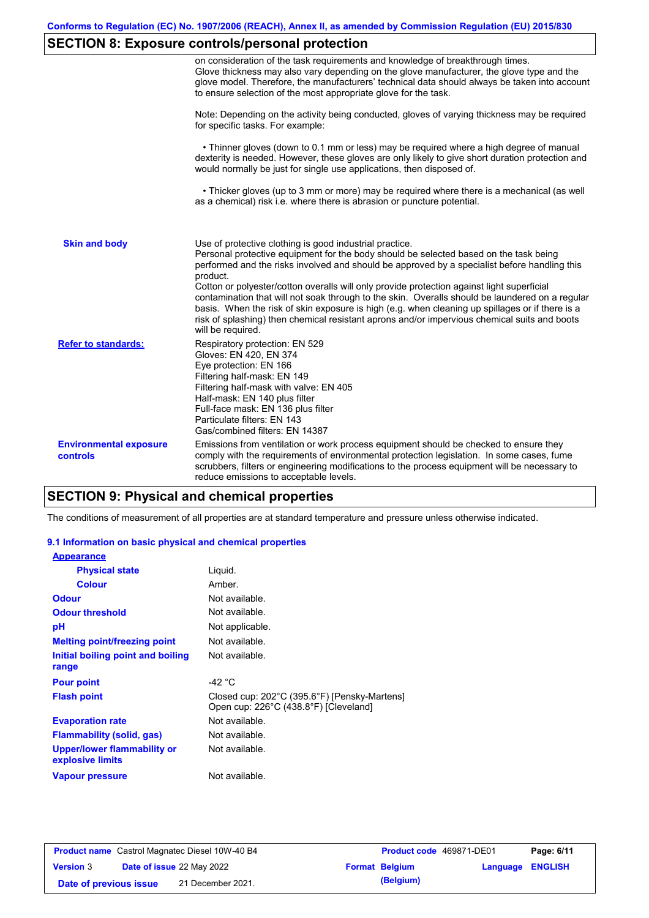## **SECTION 8: Exposure controls/personal protection**

|                                           | on consideration of the task requirements and knowledge of breakthrough times.<br>Glove thickness may also vary depending on the glove manufacturer, the glove type and the<br>glove model. Therefore, the manufacturers' technical data should always be taken into account<br>to ensure selection of the most appropriate glove for the task.                                                                                                                                                                                                                                                                                                                                       |  |  |  |  |
|-------------------------------------------|---------------------------------------------------------------------------------------------------------------------------------------------------------------------------------------------------------------------------------------------------------------------------------------------------------------------------------------------------------------------------------------------------------------------------------------------------------------------------------------------------------------------------------------------------------------------------------------------------------------------------------------------------------------------------------------|--|--|--|--|
|                                           | Note: Depending on the activity being conducted, gloves of varying thickness may be required<br>for specific tasks. For example:                                                                                                                                                                                                                                                                                                                                                                                                                                                                                                                                                      |  |  |  |  |
|                                           | • Thinner gloves (down to 0.1 mm or less) may be required where a high degree of manual<br>dexterity is needed. However, these gloves are only likely to give short duration protection and<br>would normally be just for single use applications, then disposed of.                                                                                                                                                                                                                                                                                                                                                                                                                  |  |  |  |  |
|                                           | • Thicker gloves (up to 3 mm or more) may be required where there is a mechanical (as well<br>as a chemical) risk i.e. where there is abrasion or puncture potential.                                                                                                                                                                                                                                                                                                                                                                                                                                                                                                                 |  |  |  |  |
| <b>Skin and body</b>                      | Use of protective clothing is good industrial practice.<br>Personal protective equipment for the body should be selected based on the task being<br>performed and the risks involved and should be approved by a specialist before handling this<br>product.<br>Cotton or polyester/cotton overalls will only provide protection against light superficial<br>contamination that will not soak through to the skin. Overalls should be laundered on a regular<br>basis. When the risk of skin exposure is high (e.g. when cleaning up spillages or if there is a<br>risk of splashing) then chemical resistant aprons and/or impervious chemical suits and boots<br>will be required. |  |  |  |  |
| <b>Refer to standards:</b>                | Respiratory protection: EN 529<br>Gloves: EN 420, EN 374<br>Eye protection: EN 166<br>Filtering half-mask: EN 149<br>Filtering half-mask with valve: EN 405<br>Half-mask: EN 140 plus filter<br>Full-face mask: EN 136 plus filter<br>Particulate filters: EN 143<br>Gas/combined filters: EN 14387                                                                                                                                                                                                                                                                                                                                                                                   |  |  |  |  |
| <b>Environmental exposure</b><br>controls | Emissions from ventilation or work process equipment should be checked to ensure they<br>comply with the requirements of environmental protection legislation. In some cases, fume<br>scrubbers, filters or engineering modifications to the process equipment will be necessary to<br>reduce emissions to acceptable levels.                                                                                                                                                                                                                                                                                                                                                         |  |  |  |  |

## **SECTION 9: Physical and chemical properties**

The conditions of measurement of all properties are at standard temperature and pressure unless otherwise indicated.

### **9.1 Information on basic physical and chemical properties**

| <b>Appearance</b>                                      |                                                                                       |
|--------------------------------------------------------|---------------------------------------------------------------------------------------|
| <b>Physical state</b>                                  | Liguid.                                                                               |
| <b>Colour</b>                                          | Amber.                                                                                |
| <b>Odour</b>                                           | Not available.                                                                        |
| <b>Odour threshold</b>                                 | Not available.                                                                        |
| рH                                                     | Not applicable.                                                                       |
| <b>Melting point/freezing point</b>                    | Not available.                                                                        |
| Initial boiling point and boiling<br>range             | Not available.                                                                        |
| <b>Pour point</b>                                      | -42 $^{\circ}$ C                                                                      |
| <b>Flash point</b>                                     | Closed cup: 202°C (395.6°F) [Pensky-Martens]<br>Open cup: 226°C (438.8°F) [Cleveland] |
| <b>Evaporation rate</b>                                | Not available.                                                                        |
| <b>Flammability (solid, gas)</b>                       | Not available.                                                                        |
| <b>Upper/lower flammability or</b><br>explosive limits | Not available.                                                                        |
| <b>Vapour pressure</b>                                 | Not available.                                                                        |

| <b>Product name</b> Castrol Magnatec Diesel 10W-40 B4 |  |                                  | <b>Product code</b> 469871-DE01 |                       | Page: 6/11              |  |
|-------------------------------------------------------|--|----------------------------------|---------------------------------|-----------------------|-------------------------|--|
| <b>Version 3</b>                                      |  | <b>Date of issue 22 May 2022</b> |                                 | <b>Format Belgium</b> | <b>Language ENGLISH</b> |  |
| Date of previous issue                                |  | 21 December 2021.                |                                 | (Belgium)             |                         |  |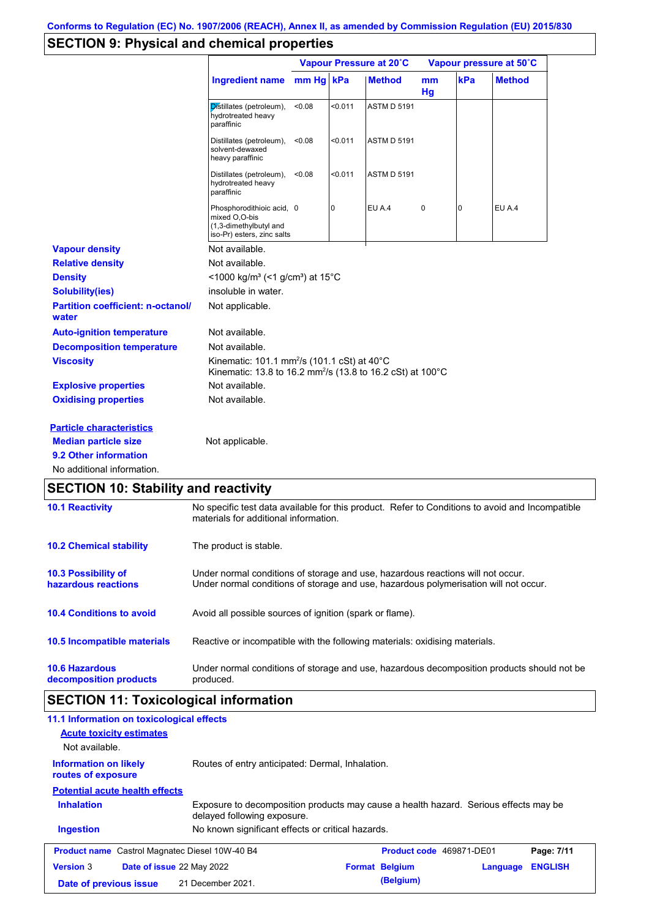## **SECTION 9: Physical and chemical properties**

|                                                   |                                                                                                                                   | Vapour Pressure at 20°C |         |                    | Vapour pressure at 50°C |                |               |
|---------------------------------------------------|-----------------------------------------------------------------------------------------------------------------------------------|-------------------------|---------|--------------------|-------------------------|----------------|---------------|
|                                                   | Ingredient name mm Hg kPa                                                                                                         |                         |         | <b>Method</b>      | mm<br>Hg                | kPa            | <b>Method</b> |
|                                                   | Distillates (petroleum),<br>hydrotreated heavy<br>paraffinic                                                                      | < 0.08                  | < 0.011 | <b>ASTM D 5191</b> |                         |                |               |
|                                                   | Distillates (petroleum),<br>solvent-dewaxed<br>heavy paraffinic                                                                   | < 0.08                  | < 0.011 | <b>ASTM D 5191</b> |                         |                |               |
|                                                   | Distillates (petroleum),<br>hydrotreated heavy<br>paraffinic                                                                      | < 0.08                  | < 0.011 | <b>ASTM D 5191</b> |                         |                |               |
|                                                   | Phosphorodithioic acid, 0<br>mixed O,O-bis<br>(1,3-dimethylbutyl and<br>iso-Pr) esters, zinc salts                                |                         | 0       | EU A.4             | $\pmb{0}$               | $\overline{0}$ | EU A.4        |
| <b>Vapour density</b>                             | Not available.                                                                                                                    |                         |         |                    |                         |                |               |
| <b>Relative density</b>                           | Not available.                                                                                                                    |                         |         |                    |                         |                |               |
| <b>Density</b>                                    | <1000 kg/m <sup>3</sup> (<1 g/cm <sup>3</sup> ) at 15 <sup>°</sup> C                                                              |                         |         |                    |                         |                |               |
| <b>Solubility(ies)</b>                            | insoluble in water.                                                                                                               |                         |         |                    |                         |                |               |
| <b>Partition coefficient: n-octanol/</b><br>water | Not applicable.                                                                                                                   |                         |         |                    |                         |                |               |
| <b>Auto-ignition temperature</b>                  | Not available.                                                                                                                    |                         |         |                    |                         |                |               |
| <b>Decomposition temperature</b>                  | Not available.                                                                                                                    |                         |         |                    |                         |                |               |
| <b>Viscosity</b>                                  | Kinematic: 101.1 mm <sup>2</sup> /s (101.1 cSt) at 40°C<br>Kinematic: 13.8 to 16.2 mm <sup>2</sup> /s (13.8 to 16.2 cSt) at 100°C |                         |         |                    |                         |                |               |
| <b>Explosive properties</b>                       | Not available.                                                                                                                    |                         |         |                    |                         |                |               |
| <b>Oxidising properties</b>                       | Not available.                                                                                                                    |                         |         |                    |                         |                |               |
| <b>Particle characteristics</b>                   |                                                                                                                                   |                         |         |                    |                         |                |               |
| <b>Median particle size</b>                       | Not applicable.                                                                                                                   |                         |         |                    |                         |                |               |
| 9.2 Other information                             |                                                                                                                                   |                         |         |                    |                         |                |               |
| No additional information.                        |                                                                                                                                   |                         |         |                    |                         |                |               |

| <b>10.1 Reactivity</b>                            | No specific test data available for this product. Refer to Conditions to avoid and Incompatible<br>materials for additional information.                                |
|---------------------------------------------------|-------------------------------------------------------------------------------------------------------------------------------------------------------------------------|
| <b>10.2 Chemical stability</b>                    | The product is stable.                                                                                                                                                  |
| <b>10.3 Possibility of</b><br>hazardous reactions | Under normal conditions of storage and use, hazardous reactions will not occur.<br>Under normal conditions of storage and use, hazardous polymerisation will not occur. |
| <b>10.4 Conditions to avoid</b>                   | Avoid all possible sources of ignition (spark or flame).                                                                                                                |
| 10.5 Incompatible materials                       | Reactive or incompatible with the following materials: oxidising materials.                                                                                             |
| <b>10.6 Hazardous</b><br>decomposition products   | Under normal conditions of storage and use, hazardous decomposition products should not be<br>produced.                                                                 |

# **SECTION 11: Toxicological information**

| 11.1 Information on toxicological effects             |                                                                                                                     |                                   |                |
|-------------------------------------------------------|---------------------------------------------------------------------------------------------------------------------|-----------------------------------|----------------|
| <b>Acute toxicity estimates</b>                       |                                                                                                                     |                                   |                |
| Not available.                                        |                                                                                                                     |                                   |                |
| <b>Information on likely</b><br>routes of exposure    | Routes of entry anticipated: Dermal, Inhalation.                                                                    |                                   |                |
| <b>Potential acute health effects</b>                 |                                                                                                                     |                                   |                |
| <b>Inhalation</b>                                     | Exposure to decomposition products may cause a health hazard. Serious effects may be<br>delayed following exposure. |                                   |                |
| <b>Ingestion</b>                                      | No known significant effects or critical hazards.                                                                   |                                   |                |
| <b>Product name</b> Castrol Magnatec Diesel 10W-40 B4 |                                                                                                                     | <b>Product code</b> 469871-DE01   | Page: 7/11     |
| <b>Version 3</b><br><b>Date of issue 22 May 2022</b>  |                                                                                                                     | <b>Format Belgium</b><br>Language | <b>ENGLISH</b> |
| Date of previous issue                                | 21 December 2021.                                                                                                   | (Belgium)                         |                |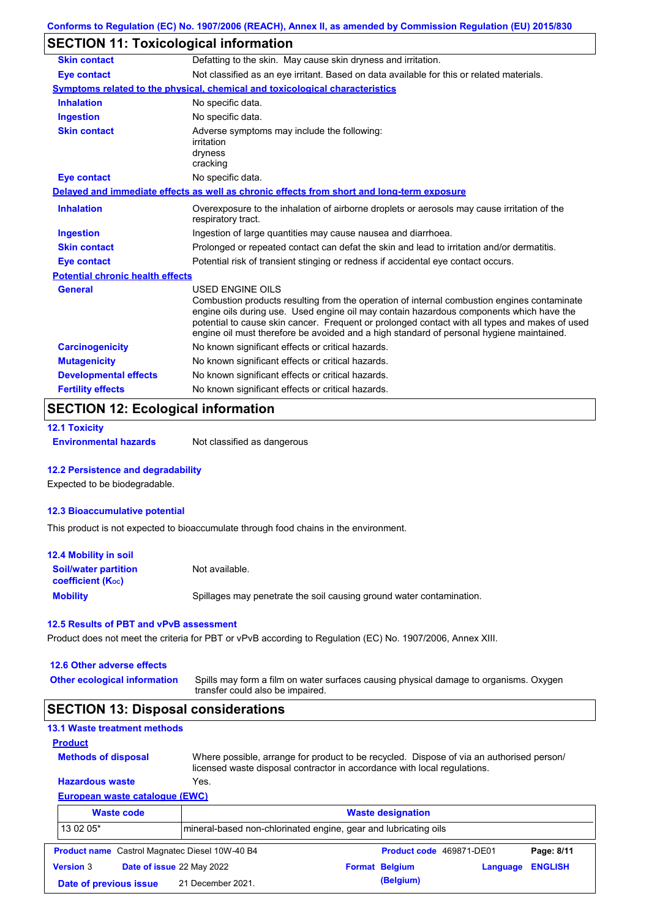## **SECTION 11: Toxicological information**

| <b>Skin contact</b>                     | Defatting to the skin. May cause skin dryness and irritation.                                                                                                                                                                                                                                                                                                                                                   |
|-----------------------------------------|-----------------------------------------------------------------------------------------------------------------------------------------------------------------------------------------------------------------------------------------------------------------------------------------------------------------------------------------------------------------------------------------------------------------|
| <b>Eye contact</b>                      | Not classified as an eye irritant. Based on data available for this or related materials.                                                                                                                                                                                                                                                                                                                       |
|                                         | <b>Symptoms related to the physical, chemical and toxicological characteristics</b>                                                                                                                                                                                                                                                                                                                             |
| <b>Inhalation</b>                       | No specific data.                                                                                                                                                                                                                                                                                                                                                                                               |
| <b>Ingestion</b>                        | No specific data.                                                                                                                                                                                                                                                                                                                                                                                               |
| <b>Skin contact</b>                     | Adverse symptoms may include the following:<br>irritation<br>dryness<br>cracking                                                                                                                                                                                                                                                                                                                                |
| <b>Eye contact</b>                      | No specific data.                                                                                                                                                                                                                                                                                                                                                                                               |
|                                         | Delayed and immediate effects as well as chronic effects from short and long-term exposure                                                                                                                                                                                                                                                                                                                      |
| <b>Inhalation</b>                       | Overexposure to the inhalation of airborne droplets or aerosols may cause irritation of the<br>respiratory tract.                                                                                                                                                                                                                                                                                               |
| <b>Ingestion</b>                        | Ingestion of large quantities may cause nausea and diarrhoea.                                                                                                                                                                                                                                                                                                                                                   |
| <b>Skin contact</b>                     | Prolonged or repeated contact can defat the skin and lead to irritation and/or dermatitis.                                                                                                                                                                                                                                                                                                                      |
| <b>Eye contact</b>                      | Potential risk of transient stinging or redness if accidental eye contact occurs.                                                                                                                                                                                                                                                                                                                               |
| <b>Potential chronic health effects</b> |                                                                                                                                                                                                                                                                                                                                                                                                                 |
| General                                 | <b>USED ENGINE OILS</b><br>Combustion products resulting from the operation of internal combustion engines contaminate<br>engine oils during use. Used engine oil may contain hazardous components which have the<br>potential to cause skin cancer. Frequent or prolonged contact with all types and makes of used<br>engine oil must therefore be avoided and a high standard of personal hygiene maintained. |
| <b>Carcinogenicity</b>                  | No known significant effects or critical hazards.                                                                                                                                                                                                                                                                                                                                                               |
| <b>Mutagenicity</b>                     | No known significant effects or critical hazards.                                                                                                                                                                                                                                                                                                                                                               |
| <b>Developmental effects</b>            | No known significant effects or critical hazards.                                                                                                                                                                                                                                                                                                                                                               |
| <b>Fertility effects</b>                | No known significant effects or critical hazards.                                                                                                                                                                                                                                                                                                                                                               |

# **SECTION 12: Ecological information**

```
12.1 Toxicity
```
**Environmental hazards** Not classified as dangerous

### **12.2 Persistence and degradability**

Expected to be biodegradable.

#### **12.3 Bioaccumulative potential**

This product is not expected to bioaccumulate through food chains in the environment.

| <b>12.4 Mobility in soil</b>                                  |                                                                      |
|---------------------------------------------------------------|----------------------------------------------------------------------|
| <b>Soil/water partition</b><br>coefficient (K <sub>oc</sub> ) | Not available.                                                       |
| <b>Mobility</b>                                               | Spillages may penetrate the soil causing ground water contamination. |

#### **12.5 Results of PBT and vPvB assessment**

Product does not meet the criteria for PBT or vPvB according to Regulation (EC) No. 1907/2006, Annex XIII.

| 12.6 Other adverse effects<br><b>Other ecological information</b> | Spills may form a film on water surfaces causing physical damage to organisms. Oxygen<br>transfer could also be impaired. |
|-------------------------------------------------------------------|---------------------------------------------------------------------------------------------------------------------------|
| <b>SECTION 13: Disposal considerations</b>                        |                                                                                                                           |
| <b>13.1 Waste treatment methods</b>                               |                                                                                                                           |
| <b>Product</b>                                                    |                                                                                                                           |
| <b>Methods of disposal</b>                                        | Where possible, arrange for product to be recycled. Dispose of via an authorised person/                                  |

licensed waste disposal contractor in accordance with local regulations.

#### **European waste catalogue (EWC) Hazardous waste** Yes.

|                        | $E$ uropean wasio calarogue (Ewo) |                                                                 |  |                          |          |                |
|------------------------|-----------------------------------|-----------------------------------------------------------------|--|--------------------------|----------|----------------|
|                        | <b>Waste code</b>                 | <b>Waste designation</b>                                        |  |                          |          |                |
| 13 02 05*              |                                   | mineral-based non-chlorinated engine, gear and lubricating oils |  |                          |          |                |
|                        |                                   | <b>Product name</b> Castrol Magnatec Diesel 10W-40 B4           |  | Product code 469871-DE01 |          | Page: 8/11     |
| <b>Version 3</b>       | Date of issue 22 May 2022         |                                                                 |  | <b>Format Belgium</b>    | Language | <b>ENGLISH</b> |
| Date of previous issue |                                   | 21 December 2021.                                               |  | (Belgium)                |          |                |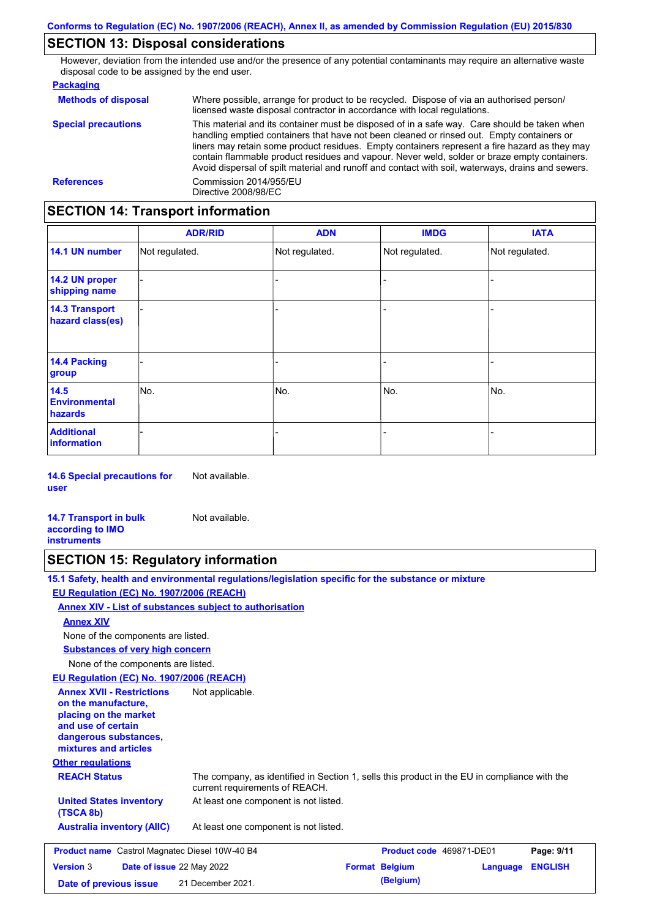### **SECTION 13: Disposal considerations**

However, deviation from the intended use and/or the presence of any potential contaminants may require an alternative waste disposal code to be assigned by the end user.

#### **Packaging**

| <b>Methods of disposal</b> | Where possible, arrange for product to be recycled. Dispose of via an authorised person/<br>licensed waste disposal contractor in accordance with local regulations.                                                                                                                                                                                                                                                                                                                            |
|----------------------------|-------------------------------------------------------------------------------------------------------------------------------------------------------------------------------------------------------------------------------------------------------------------------------------------------------------------------------------------------------------------------------------------------------------------------------------------------------------------------------------------------|
| <b>Special precautions</b> | This material and its container must be disposed of in a safe way. Care should be taken when<br>handling emptied containers that have not been cleaned or rinsed out. Empty containers or<br>liners may retain some product residues. Empty containers represent a fire hazard as they may<br>contain flammable product residues and vapour. Never weld, solder or braze empty containers.<br>Avoid dispersal of spilt material and runoff and contact with soil, waterways, drains and sewers. |
| <b>References</b>          | Commission 2014/955/EU<br>Directive 2008/98/EC                                                                                                                                                                                                                                                                                                                                                                                                                                                  |

### **SECTION 14: Transport information**

|                                           | <b>ADR/RID</b> | <b>ADN</b>     | <b>IMDG</b>    | <b>IATA</b>    |
|-------------------------------------------|----------------|----------------|----------------|----------------|
| 14.1 UN number                            | Not regulated. | Not regulated. | Not regulated. | Not regulated. |
| 14.2 UN proper<br>shipping name           |                |                | -              |                |
| <b>14.3 Transport</b><br>hazard class(es) |                |                | -              |                |
| 14.4 Packing<br>group                     |                |                | -              |                |
| 14.5<br><b>Environmental</b><br>hazards   | No.            | No.            | No.            | No.            |
| <b>Additional</b><br><b>information</b>   |                |                |                |                |

**14.6 Special precautions for user** Not available.

**14.7 Transport in bulk according to IMO instruments** Not available.

### **SECTION 15: Regulatory information**

**15.1 Safety, health and environmental regulations/legislation specific for the substance or mixture**

### **EU Regulation (EC) No. 1907/2006 (REACH)**

**Annex XIV - List of substances subject to authorisation**

#### **Annex XIV**

None of the components are listed.

**Substances of very high concern**

None of the components are listed.

### **EU Regulation (EC) No. 1907/2006 (REACH)**

**Other regulations REACH Status** The company, as identified in Section 1, sells this product in the EU in compliance with the current requirements of REACH. At least one component is not listed. **United States inventory** At least one component is not listed. **(TSCA 8b) Australia inventory (AIIC) Annex XVII - Restrictions on the manufacture, placing on the market and use of certain dangerous substances, mixtures and articles** Not applicable. **Product name** Castrol Magnatec Diesel 10W-40 B4 **Product Code 469871-DE01 Page: 9/11 Version** 3 **Date of issue** 22 May 2022 **Format Belgium Language ENGLISH Date of previous issue 21 December 2021. (Belgium)**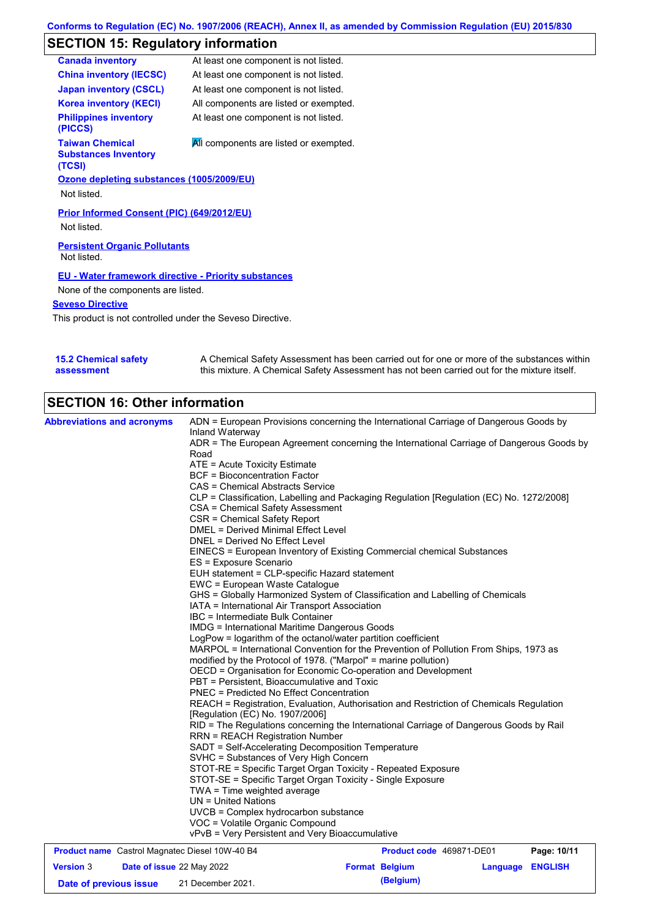# **SECTION 15: Regulatory information**

| <b>Canada inventory</b>                                         | At least one component is not listed.  |
|-----------------------------------------------------------------|----------------------------------------|
| <b>China inventory (IECSC)</b>                                  | At least one component is not listed.  |
| <b>Japan inventory (CSCL)</b>                                   | At least one component is not listed.  |
| <b>Korea inventory (KECI)</b>                                   | All components are listed or exempted. |
| <b>Philippines inventory</b><br>(PICCS)                         | At least one component is not listed.  |
| <b>Taiwan Chemical</b><br><b>Substances Inventory</b><br>(TCSI) | All components are listed or exempted. |
| Ozone depleting substances (1005/2009/EU)                       |                                        |
| Not listed.                                                     |                                        |
| Prior Informed Consent (PIC) (649/2012/EU)<br>Not listed.       |                                        |
| <b>Persistent Organic Pollutants</b><br>Not listed.             |                                        |
| <b>EU - Water framework directive - Priority substances</b>     |                                        |
| None of the components are listed.                              |                                        |
| <b>Seveso Directive</b>                                         |                                        |
| This product is not controlled under the Seveso Directive.      |                                        |

| <b>15.2 Chemical safety</b> | A Chemical Safety Assessment has been carried out for one or more of the substances within  |
|-----------------------------|---------------------------------------------------------------------------------------------|
| assessment                  | this mixture. A Chemical Safety Assessment has not been carried out for the mixture itself. |

# **SECTION 16: Other information**

| <b>Abbreviations and acronyms</b>                     | ADN = European Provisions concerning the International Carriage of Dangerous Goods by                       |                          |             |
|-------------------------------------------------------|-------------------------------------------------------------------------------------------------------------|--------------------------|-------------|
|                                                       | Inland Waterway<br>ADR = The European Agreement concerning the International Carriage of Dangerous Goods by |                          |             |
|                                                       | Road                                                                                                        |                          |             |
|                                                       | ATE = Acute Toxicity Estimate                                                                               |                          |             |
|                                                       | <b>BCF</b> = Bioconcentration Factor                                                                        |                          |             |
|                                                       | <b>CAS = Chemical Abstracts Service</b>                                                                     |                          |             |
|                                                       | CLP = Classification, Labelling and Packaging Regulation [Regulation (EC) No. 1272/2008]                    |                          |             |
|                                                       | CSA = Chemical Safety Assessment                                                                            |                          |             |
|                                                       | CSR = Chemical Safety Report                                                                                |                          |             |
|                                                       | <b>DMEL = Derived Minimal Effect Level</b>                                                                  |                          |             |
|                                                       | DNEL = Derived No Effect Level                                                                              |                          |             |
|                                                       | EINECS = European Inventory of Existing Commercial chemical Substances                                      |                          |             |
|                                                       | ES = Exposure Scenario                                                                                      |                          |             |
|                                                       | EUH statement = CLP-specific Hazard statement                                                               |                          |             |
|                                                       | EWC = European Waste Catalogue                                                                              |                          |             |
|                                                       | GHS = Globally Harmonized System of Classification and Labelling of Chemicals                               |                          |             |
|                                                       | IATA = International Air Transport Association                                                              |                          |             |
|                                                       | IBC = Intermediate Bulk Container                                                                           |                          |             |
|                                                       | <b>IMDG = International Maritime Dangerous Goods</b>                                                        |                          |             |
|                                                       | LogPow = logarithm of the octanol/water partition coefficient                                               |                          |             |
|                                                       | MARPOL = International Convention for the Prevention of Pollution From Ships, 1973 as                       |                          |             |
|                                                       | modified by the Protocol of 1978. ("Marpol" = marine pollution)                                             |                          |             |
|                                                       | OECD = Organisation for Economic Co-operation and Development                                               |                          |             |
|                                                       | PBT = Persistent, Bioaccumulative and Toxic                                                                 |                          |             |
|                                                       | <b>PNEC = Predicted No Effect Concentration</b>                                                             |                          |             |
|                                                       | REACH = Registration, Evaluation, Authorisation and Restriction of Chemicals Regulation                     |                          |             |
|                                                       | [Regulation (EC) No. 1907/2006]                                                                             |                          |             |
|                                                       | RID = The Regulations concerning the International Carriage of Dangerous Goods by Rail                      |                          |             |
|                                                       | <b>RRN = REACH Registration Number</b>                                                                      |                          |             |
|                                                       | SADT = Self-Accelerating Decomposition Temperature                                                          |                          |             |
|                                                       | SVHC = Substances of Very High Concern                                                                      |                          |             |
|                                                       | STOT-RE = Specific Target Organ Toxicity - Repeated Exposure                                                |                          |             |
|                                                       | STOT-SE = Specific Target Organ Toxicity - Single Exposure                                                  |                          |             |
|                                                       | $TWA = Time$ weighted average                                                                               |                          |             |
|                                                       | $UN = United Nations$                                                                                       |                          |             |
|                                                       | UVCB = Complex hydrocarbon substance                                                                        |                          |             |
|                                                       | VOC = Volatile Organic Compound                                                                             |                          |             |
|                                                       | vPvB = Very Persistent and Very Bioaccumulative                                                             |                          |             |
| <b>Product name</b> Castrol Magnatec Diesel 10W-40 B4 |                                                                                                             | Product code 469871-DE01 | Page: 10/11 |

| <b>Version 3</b>       |  | <b>Date of issue 22 May 2022</b> | <b>Format Belgium</b> | <b>Language ENGLISH</b> |  |  |
|------------------------|--|----------------------------------|-----------------------|-------------------------|--|--|
| Date of previous issue |  | 21 December 2021.                |                       | (Belgium)               |  |  |